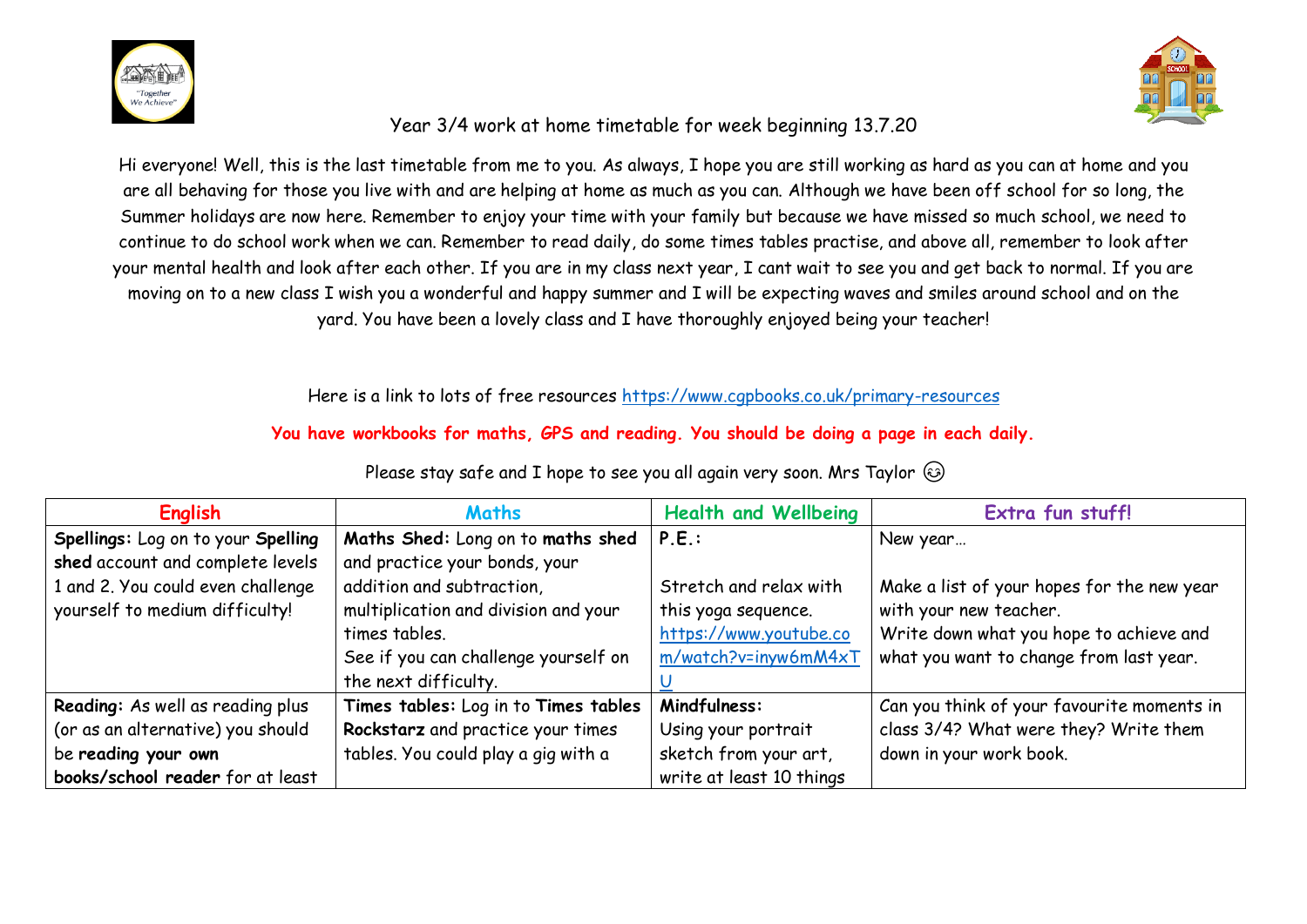



## Year 3/4 work at home timetable for week beginning 13.7.20

Hi everyone! Well, this is the last timetable from me to you. As always, I hope you are still working as hard as you can at home and you are all behaving for those you live with and are helping at home as much as you can. Although we have been off school for so long, the Summer holidays are now here. Remember to enjoy your time with your family but because we have missed so much school, we need to continue to do school work when we can. Remember to read daily, do some times tables practise, and above all, remember to look after your mental health and look after each other. If you are in my class next year, I cant wait to see you and get back to normal. If you are moving on to a new class I wish you a wonderful and happy summer and I will be expecting waves and smiles around school and on the yard. You have been a lovely class and I have thoroughly enjoyed being your teacher!

Here is a link to lots of free resources<https://www.cgpbooks.co.uk/primary-resources>

## **You have workbooks for maths, GPS and reading. You should be doing a page in each daily.**

| <b>English</b>                     | <b>Maths</b>                         | <b>Health and Wellbeing</b> | Extra fun stuff!                           |
|------------------------------------|--------------------------------------|-----------------------------|--------------------------------------------|
| Spellings: Log on to your Spelling | Maths Shed: Long on to maths shed    | P.E.                        | New year                                   |
| shed account and complete levels   | and practice your bonds, your        |                             |                                            |
| 1 and 2. You could even challenge  | addition and subtraction,            | Stretch and relax with      | Make a list of your hopes for the new year |
| yourself to medium difficulty!     | multiplication and division and your | this yoga sequence.         | with your new teacher.                     |
|                                    | times tables.                        | https://www.youtube.co      | Write down what you hope to achieve and    |
|                                    | See if you can challenge yourself on | m/watch?v=inyw6mM4xT        | what you want to change from last year.    |
|                                    | the next difficulty.                 |                             |                                            |
| Reading: As well as reading plus   | Times tables: Log in to Times tables | Mindfulness:                | Can you think of your favourite moments in |
| (or as an alternative) you should  | Rockstarz and practice your times    | Using your portrait         | class 3/4? What were they? Write them      |
| be reading your own                | tables. You could play a gig with a  | sketch from your art,       | down in your work book.                    |
| books/school reader for at least   |                                      | write at least 10 things    |                                            |

Please stay safe and I hope to see you all again very soon. Mrs Taylor  $\circledast$